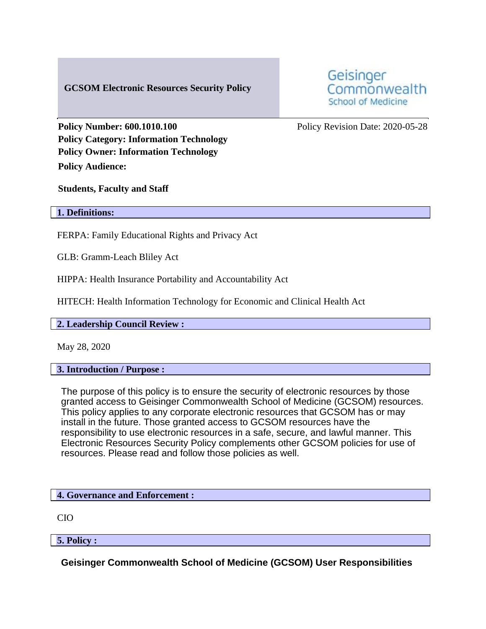# **GCSOM Electronic Resources Security Policy**

Geisinger Commonwealth **School of Medicine** 

**Policy Number: 600.1010.100** Policy Revision Date: 2020-05-28 **Policy Category: Information Technology Policy Owner: Information Technology Policy Audience:** 

**Students, Faculty and Staff**

#### **1. Definitions:**

FERPA: Family Educational Rights and Privacy Act

GLB: Gramm-Leach Bliley Act

HIPPA: Health Insurance Portability and Accountability Act

HITECH: Health Information Technology for Economic and Clinical Health Act

#### **2. Leadership Council Review :**

May 28, 2020

#### **3. Introduction / Purpose :**

The purpose of this policy is to ensure the security of electronic resources by those granted access to Geisinger Commonwealth School of Medicine (GCSOM) resources. This policy applies to any corporate electronic resources that GCSOM has or may install in the future. Those granted access to GCSOM resources have the responsibility to use electronic resources in a safe, secure, and lawful manner. This Electronic Resources Security Policy complements other GCSOM policies for use of resources. Please read and follow those policies as well.

#### **4. Governance and Enforcement :**

CIO

**5. Policy :** 

**Geisinger Commonwealth School of Medicine (GCSOM) User Responsibilities**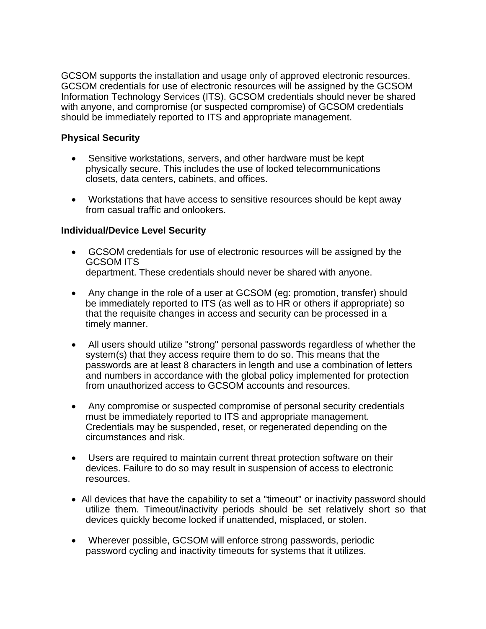GCSOM supports the installation and usage only of approved electronic resources. GCSOM credentials for use of electronic resources will be assigned by the GCSOM Information Technology Services (ITS). GCSOM credentials should never be shared with anyone, and compromise (or suspected compromise) of GCSOM credentials should be immediately reported to ITS and appropriate management.

### **Physical Security**

- Sensitive workstations, servers, and other hardware must be kept physically secure. This includes the use of locked telecommunications closets, data centers, cabinets, and offices.
- Workstations that have access to sensitive resources should be kept away from casual traffic and onlookers.

### **Individual/Device Level Security**

- GCSOM credentials for use of electronic resources will be assigned by the GCSOM ITS department. These credentials should never be shared with anyone.
- Any change in the role of a user at GCSOM (eg: promotion, transfer) should be immediately reported to ITS (as well as to HR or others if appropriate) so that the requisite changes in access and security can be processed in a timely manner.
- All users should utilize "strong" personal passwords regardless of whether the system(s) that they access require them to do so. This means that the passwords are at least 8 characters in length and use a combination of letters and numbers in accordance with the global policy implemented for protection from unauthorized access to GCSOM accounts and resources.
- Any compromise or suspected compromise of personal security credentials must be immediately reported to ITS and appropriate management. Credentials may be suspended, reset, or regenerated depending on the circumstances and risk.
- Users are required to maintain current threat protection software on their devices. Failure to do so may result in suspension of access to electronic resources.
- All devices that have the capability to set a "timeout" or inactivity password should utilize them. Timeout/inactivity periods should be set relatively short so that devices quickly become locked if unattended, misplaced, or stolen.
- Wherever possible, GCSOM will enforce strong passwords, periodic password cycling and inactivity timeouts for systems that it utilizes.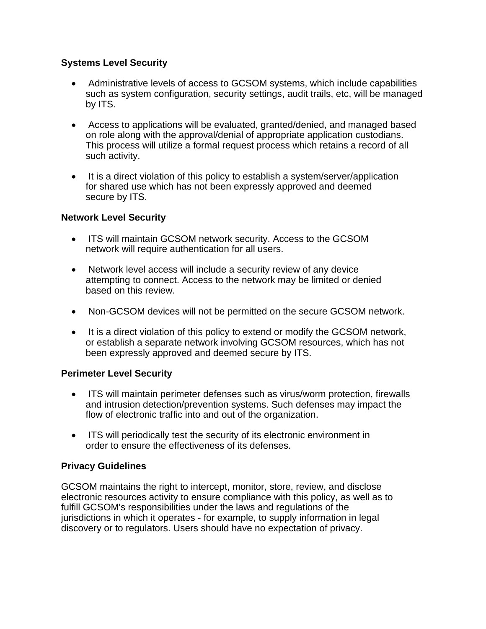# **Systems Level Security**

- Administrative levels of access to GCSOM systems, which include capabilities such as system configuration, security settings, audit trails, etc, will be managed by ITS.
- Access to applications will be evaluated, granted/denied, and managed based on role along with the approval/denial of appropriate application custodians. This process will utilize a formal request process which retains a record of all such activity.
- It is a direct violation of this policy to establish a system/server/application for shared use which has not been expressly approved and deemed secure by ITS.

## **Network Level Security**

- ITS will maintain GCSOM network security. Access to the GCSOM network will require authentication for all users.
- Network level access will include a security review of any device attempting to connect. Access to the network may be limited or denied based on this review.
- Non-GCSOM devices will not be permitted on the secure GCSOM network.
- It is a direct violation of this policy to extend or modify the GCSOM network, or establish a separate network involving GCSOM resources, which has not been expressly approved and deemed secure by ITS.

## **Perimeter Level Security**

- ITS will maintain perimeter defenses such as virus/worm protection, firewalls and intrusion detection/prevention systems. Such defenses may impact the flow of electronic traffic into and out of the organization.
- ITS will periodically test the security of its electronic environment in order to ensure the effectiveness of its defenses.

## **Privacy Guidelines**

GCSOM maintains the right to intercept, monitor, store, review, and disclose electronic resources activity to ensure compliance with this policy, as well as to fulfill GCSOM's responsibilities under the laws and regulations of the jurisdictions in which it operates - for example, to supply information in legal discovery or to regulators. Users should have no expectation of privacy.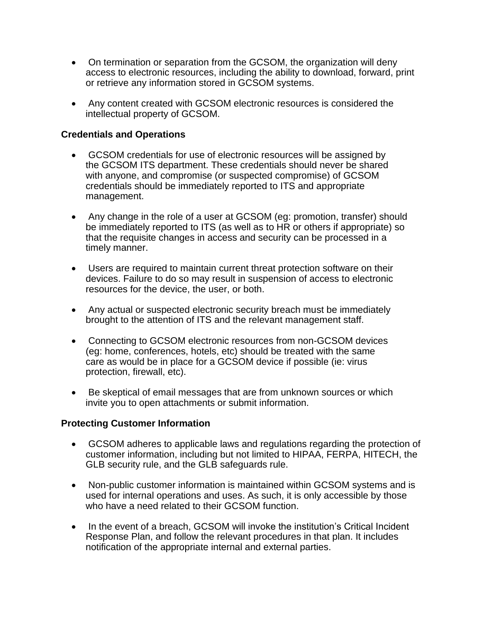- On termination or separation from the GCSOM, the organization will deny access to electronic resources, including the ability to download, forward, print or retrieve any information stored in GCSOM systems.
- Any content created with GCSOM electronic resources is considered the intellectual property of GCSOM.

## **Credentials and Operations**

- GCSOM credentials for use of electronic resources will be assigned by the GCSOM ITS department. These credentials should never be shared with anyone, and compromise (or suspected compromise) of GCSOM credentials should be immediately reported to ITS and appropriate management.
- Any change in the role of a user at GCSOM (eg: promotion, transfer) should be immediately reported to ITS (as well as to HR or others if appropriate) so that the requisite changes in access and security can be processed in a timely manner.
- Users are required to maintain current threat protection software on their devices. Failure to do so may result in suspension of access to electronic resources for the device, the user, or both.
- Any actual or suspected electronic security breach must be immediately brought to the attention of ITS and the relevant management staff.
- Connecting to GCSOM electronic resources from non-GCSOM devices (eg: home, conferences, hotels, etc) should be treated with the same care as would be in place for a GCSOM device if possible (ie: virus protection, firewall, etc).
- Be skeptical of email messages that are from unknown sources or which invite you to open attachments or submit information.

# **Protecting Customer Information**

- GCSOM adheres to applicable laws and regulations regarding the protection of customer information, including but not limited to HIPAA, FERPA, HITECH, the GLB security rule, and the GLB safeguards rule.
- Non-public customer information is maintained within GCSOM systems and is used for internal operations and uses. As such, it is only accessible by those who have a need related to their GCSOM function.
- In the event of a breach, GCSOM will invoke the institution's Critical Incident Response Plan, and follow the relevant procedures in that plan. It includes notification of the appropriate internal and external parties.